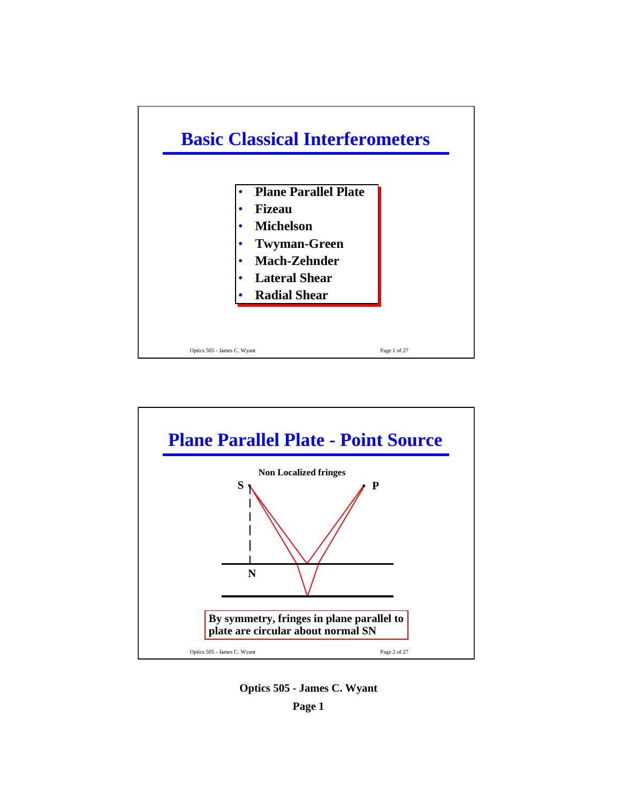



**Optics 505 - James C. Wyant**

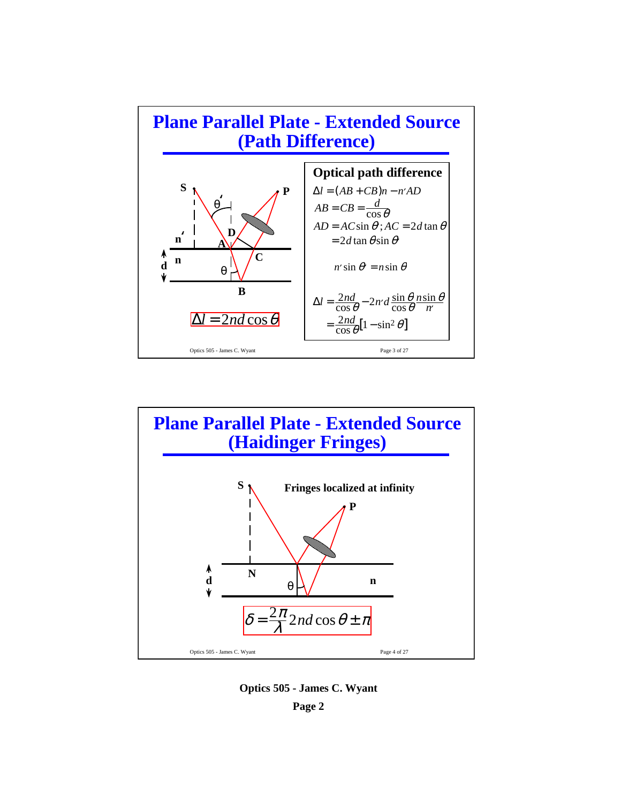



**Optics 505 - James C. Wyant Page 2**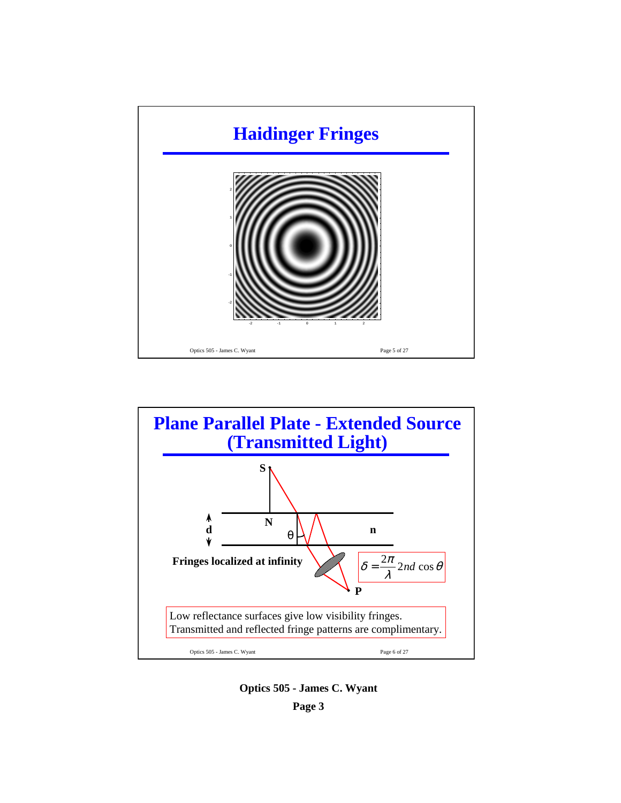



**Optics 505 - James C. Wyant Page 3**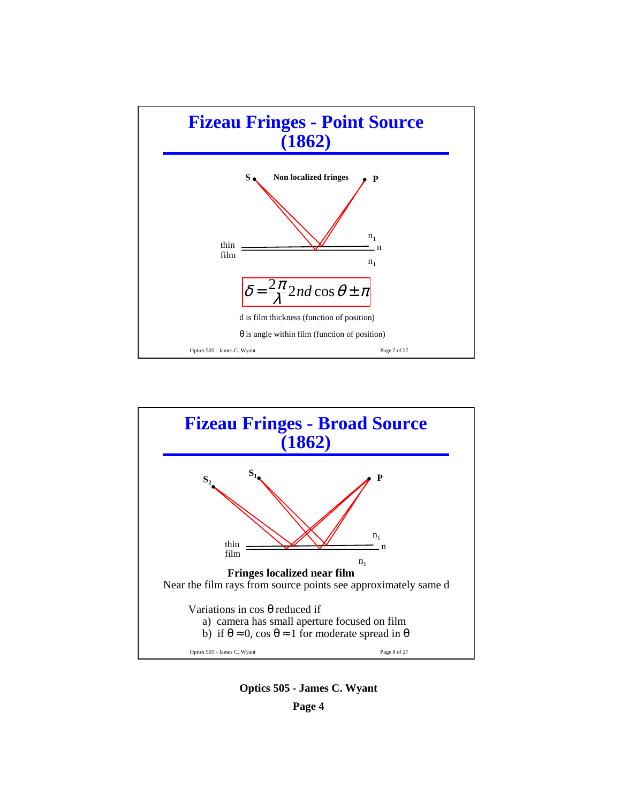



**Optics 505 - James C. Wyant Page 4**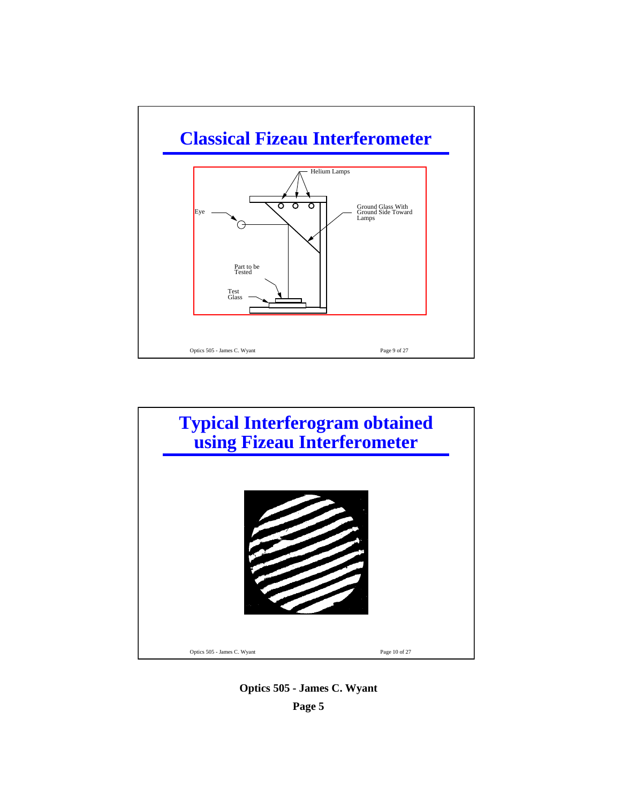



**Optics 505 - James C. Wyant Page 5**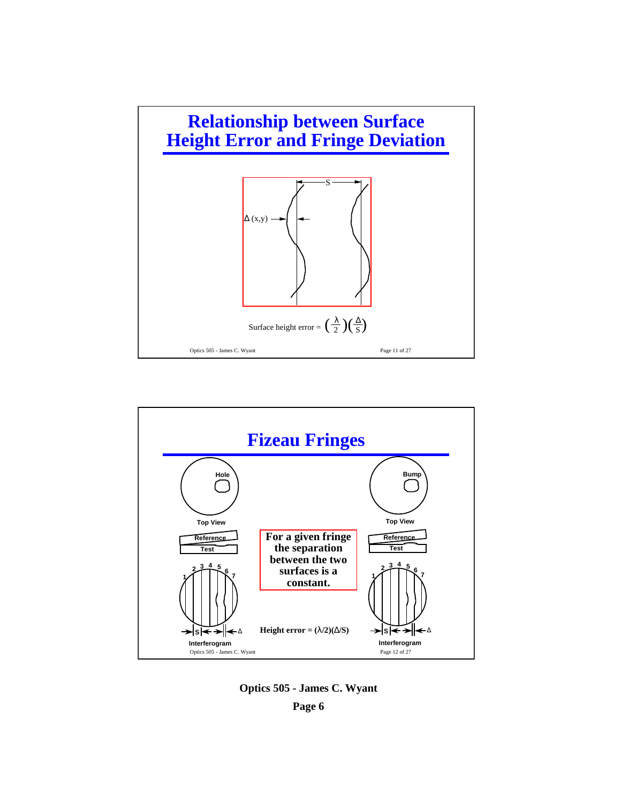



**Optics 505 - James C. Wyant**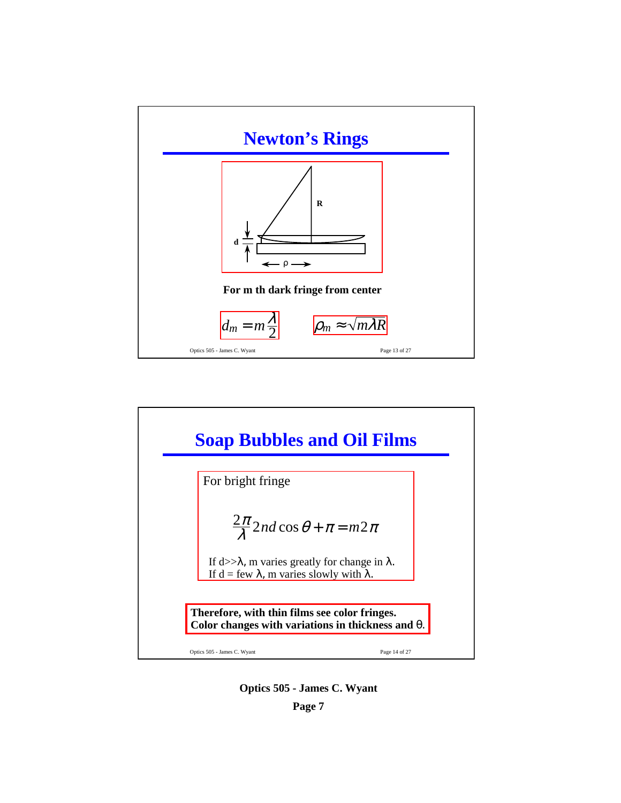



**Optics 505 - James C. Wyant**

**Page 7**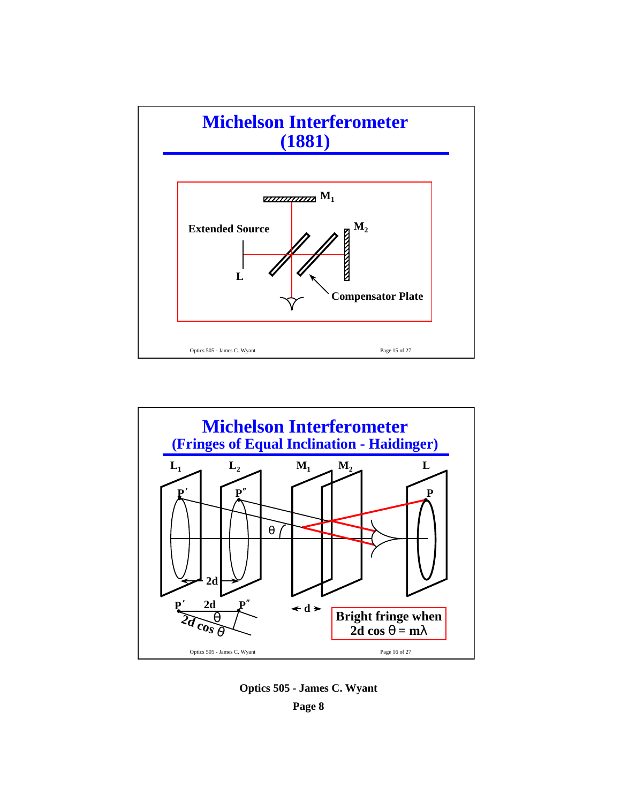



**Optics 505 - James C. Wyant Page 8**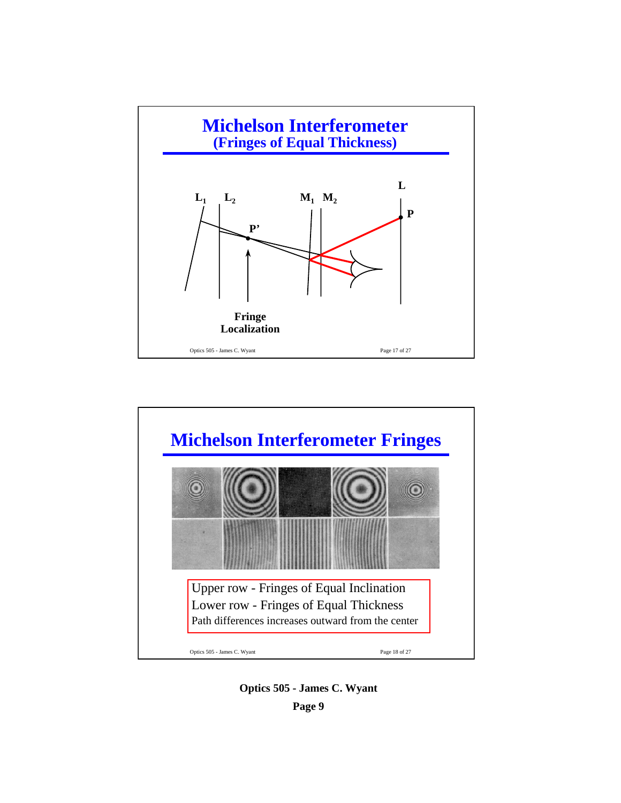



**Optics 505 - James C. Wyant Page 9**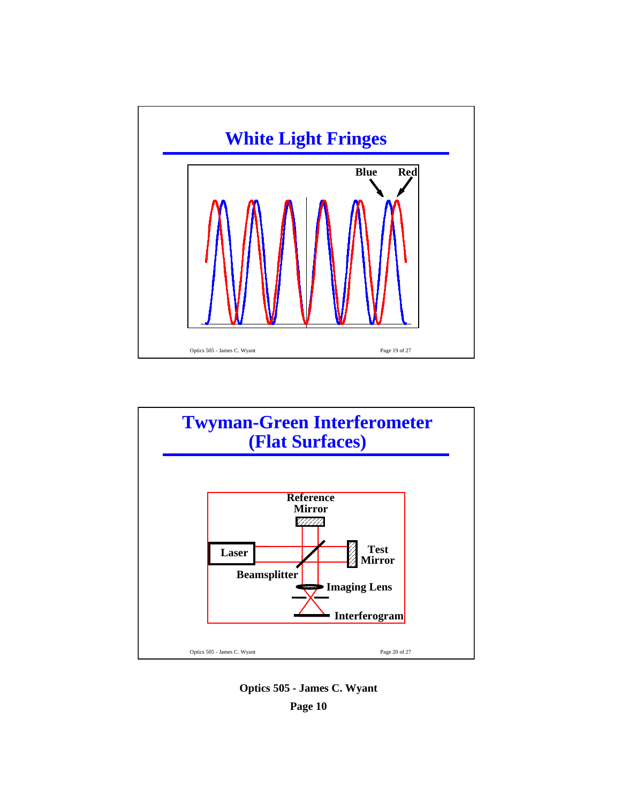



**Optics 505 - James C. Wyant Page 10**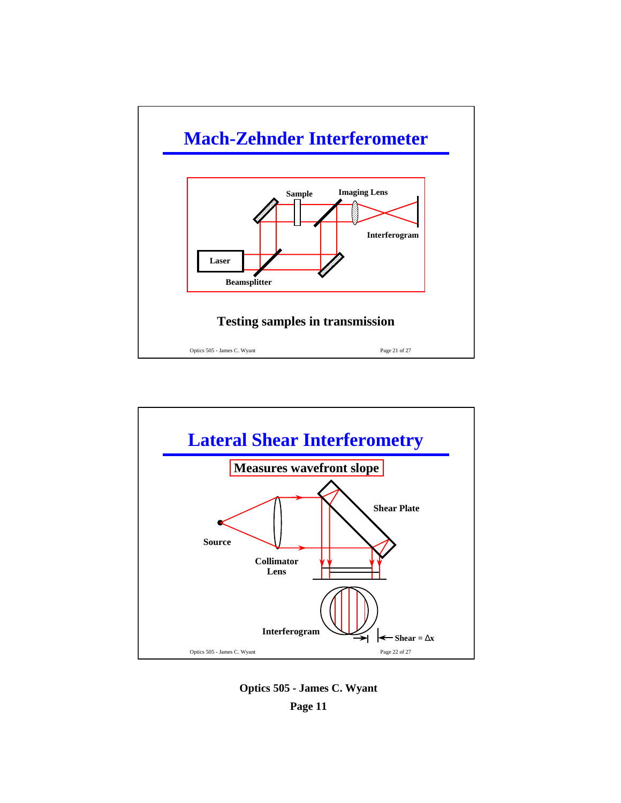



**Optics 505 - James C. Wyant Page 11**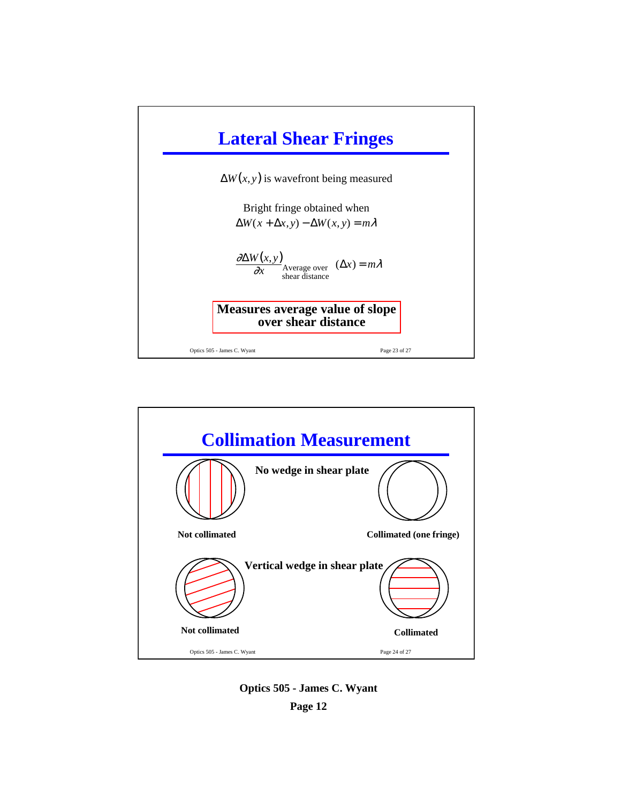



**Optics 505 - James C. Wyant Page 12**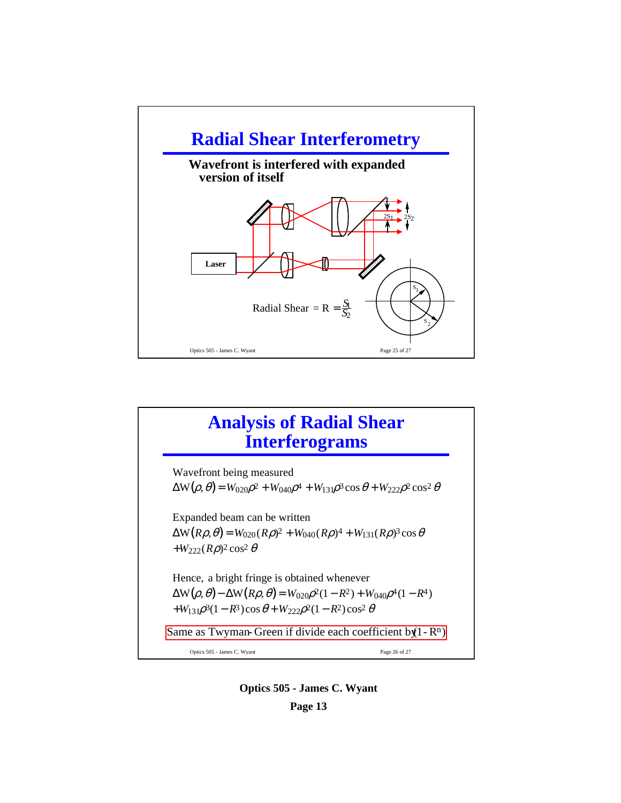

## **Analysis of Radial Shear Interferograms**

Optics 505 - James C. Wyant Page 26 of 27 Wavefront being measured  $\Delta W(\rho, \theta) = W_{020}\rho^2 + W_{040}\rho^4 + W_{131}\rho^3 \cos \theta + W_{222}\rho^2 \cos^2 \theta$ Expanded beam can be written  $\Delta W(R\rho,\theta) = W_{020}(R\rho)^2 + W_{040}(R\rho)^4 + W_{131}(R\rho)^3 \cos\theta$  $+W_{222}(R\rho)^2\cos^2\theta$ Hence, a bright fringe is obtained whenever  $\Delta W(\rho, \theta) - \Delta W(R\rho, \theta) = W_{020}\rho^2(1 - R^2) + W_{040}\rho^4(1 - R^4)$  $+W_{131}\rho^3(1-R^3)\cos\theta+W_{222}\rho^2(1-R^2)\cos^2\theta$ Same as Twyman-Green if divide each coefficient by  $(1 - R^n)$ 

> **Optics 505 - James C. Wyant Page 13**